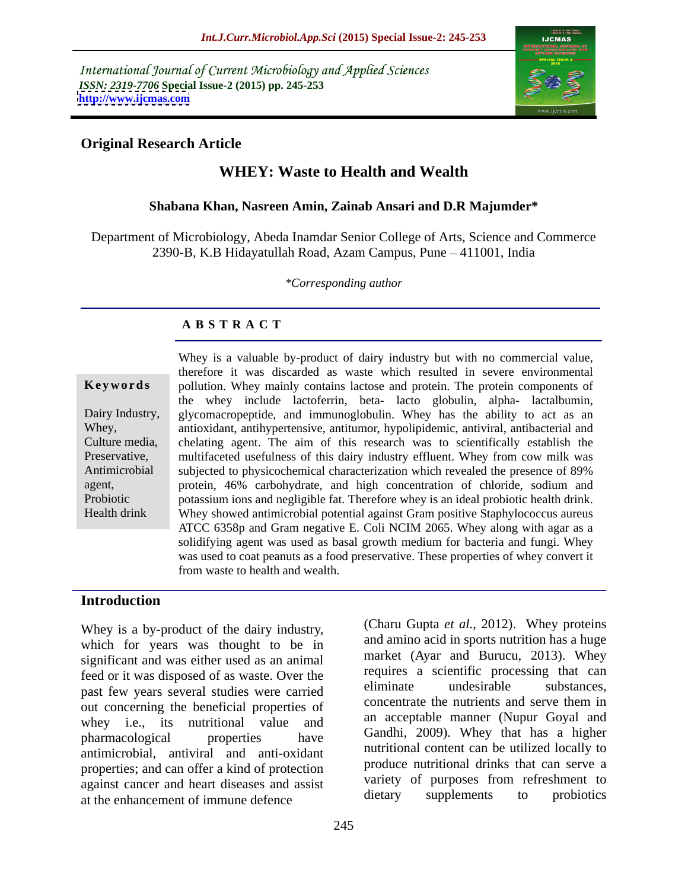International Journal of Current Microbiology and Applied Sciences *ISSN: 2319-7706* **Special Issue-2 (2015) pp. 245-253 <http://www.ijcmas.com>**



## **Original Research Article**

# **WHEY: Waste to Health and Wealth**

### **Shabana Khan, Nasreen Amin, Zainab Ansari and D.R Majumder\***

Department of Microbiology, Abeda Inamdar Senior College of Arts, Science and Commerce 2390-B, K.B Hidayatullah Road, Azam Campus, Pune 411001, India

*\*Corresponding author*

## **A B S T R A C T**

Health drink

Whey is a valuable by-product of dairy industry but with no commercial value, therefore it was discarded as waste which resulted in severe environmental **Keywords** pollution. Whey mainly contains lactose and protein. The protein components of the whey include lactoferrin, beta- lacto globulin, alpha- lactalbumin, Dairy Industry, glycomacropeptide, and immunoglobulin. Whey has the ability to act as an antioxidant, antihypertensive, antitumor, hypolipidemic, antiviral, antibacterial and Whey, Culture media, chelating agent. The aim of this research was to scientifically establish the Preservative, multifaceted usefulness of this dairy industry effluent. Whey from cow milk was Antimicrobial subjected to physicochemical characterization which revealed the presence of 89% protein, 46% carbohydrate, and high concentration of chloride, sodium and agent, Probiotic potassium ions and negligible fat. Therefore whey is an ideal probiotic health drink. Whey showed antimicrobial potential against Gram positive Staphylococcus aureus ATCC 6358p and Gram negative E. Coli NCIM 2065. Whey along with agar as a solidifying agent was used as basal growth medium for bacteria and fungi. Whey was used to coat peanuts as a food preservative. These properties of whey convert it from waste to health and wealth.

### **Introduction**

Whey is a by-product of the dairy industry, which for years was thought to be in significant and was either used as an animal feed or it was disposed of as waste. Over the requires a scientific processing that can<br>eliminate undesirable substances. past few years several studies were carried<br>out approximate the numerical proportion of the numeric concentrate the numerics and serve them in out concerning the beneficial properties of whey *i.e.*, its nutritional value and pharmacological properties have vanding 2009). Whey that has a nigher antimicrobial, antiviral and anti-oxidant properties; and can offer a kind of protection against cancer and heart diseases and assist variety of purposes from refreshment to<br>at the ophonoment of immune defense the supplements of probiotics at the enhancement of immune defence

(Charu Gupta *et al.,* 2012). Whey proteins and amino acid in sports nutrition has a huge market (Ayar and Burucu, 2013). Whey requires a scientific processing that can eliminate undesirable substances, concentrate the nutrients and serve them in an acceptable manner (Nupur Goyal and Gandhi, 2009). Whey that has a higher nutritional content can be utilized locally to produce nutritional drinks that can serve a variety of purposes from refreshment to dietary supplements to probiotics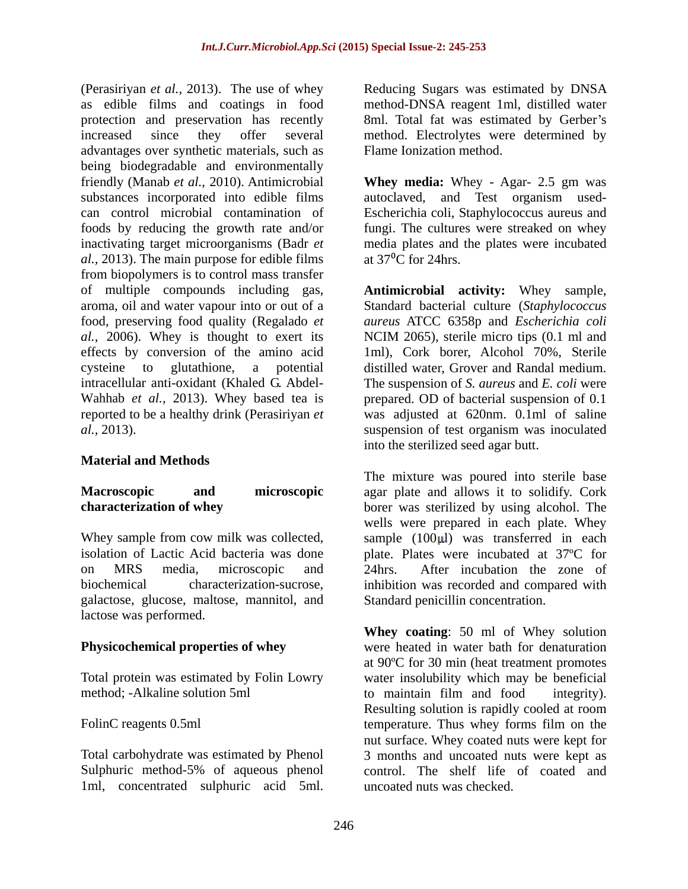(Perasiriyan *et al.,* 2013). The use of whey as edible films and coatings in food method-DNSA reagent 1ml, distilled water protection and preservation has recently 8ml. Total fat was estimated by Gerber's increased since they offer several method. Electrolytes were determined by advantages over synthetic materials, such as being biodegradable and environmentally friendly (Manab *et al.,* 2010). Antimicrobial **Whey media:** Whey - Agar- 2.5 gm was substances incorporated into edible films autoclaved, and Test organism used can control microbial contamination of Escherichia coli, Staphylococcus aureus and foods by reducing the growth rate and/or fungi. The cultures were streaked on whey inactivating target microorganisms (Badr *et*  media plates and the plates were incubated *al.,* 2013). The main purpose for edible films at 37<sup>o</sup>C for 24hrs. from biopolymers is to control mass transfer of multiple compounds including gas, **Antimicrobial activity:** Whey sample, aroma, oil and water vapour into or out of a Standard bacterial culture (*Staphylococcus* food, preserving food quality (Regalado *et aureus* ATCC 6358p and *Escherichia coli al.,* 2006). Whey is thought to exert its NCIM 2065), sterile micro tips (0.1 ml and effects by conversion of the amino acid cysteine to glutathione, a potential distilled water, Grover and Randal medium. intracellular anti-oxidant (Khaled G. Abdel- The suspension of *S. aureus* and *E. coli* were Wahhab *et al.*, 2013). Whey based tea is prepared. OD of bacterial suspension of 0.1 reported to be a healthy drink (Perasiriyan *et*  was adjusted at 620nm. 0.1mlof saline Persivies or  $\mu$ , 2013). This use of when **Excelling Sugars was estimated by Core is a substanting or**  $\mu$ **, 2013). The use of when the substanting by Defere the contentration and preservation has recently the molecular w** 

# **Material and Methods**

isolation of Lactic Acid bacteria was done galactose, glucose, maltose, mannitol, and lactose was performed.

method; -Alkaline solution 5ml to maintain film and food integrity).

Flame Ionization method.

at  $37^{\circ}$ C for 24hrs.

*al.,* 2013). suspension of test organism was inoculated 1ml), Cork borer, Alcohol 70%, Sterile into the sterilized seed agar butt.

**Macroscopic and microscopic** agar plate and allows it to solidify. Cork **characterization of whey** borer was sterilized by using alcohol. The Whey sample from cow milk was collected, sample (100µl) was transferred in each on MRS media, microscopic and 24hrs. After incubation the zone of biochemical characterization-sucrose, inhibition was recorded and compared with The mixture was poured into sterile base wells were prepared in each plate. Whey plate. Plates were incubated at 37ºC for Standard penicillin concentration.

**Physicochemical properties of whey** were heated in water bath for denaturation Total protein was estimated by Folin Lowry water insolubility which may be beneficial FolinC reagents 0.5ml temperature. Thus whey forms film on the Total carbohydrate was estimated by Phenol 3 months and uncoated nuts were kept as Sulphuric method-5% of aqueous phenol control. The shelf life of coated and **Whey coating**: 50 ml of Whey solution at 90ºC for 30 min (heat treatment promotes to maintain film and food integrity). Resulting solution is rapidly cooled at room nut surface. Whey coated nuts were kept for uncoated nuts was checked.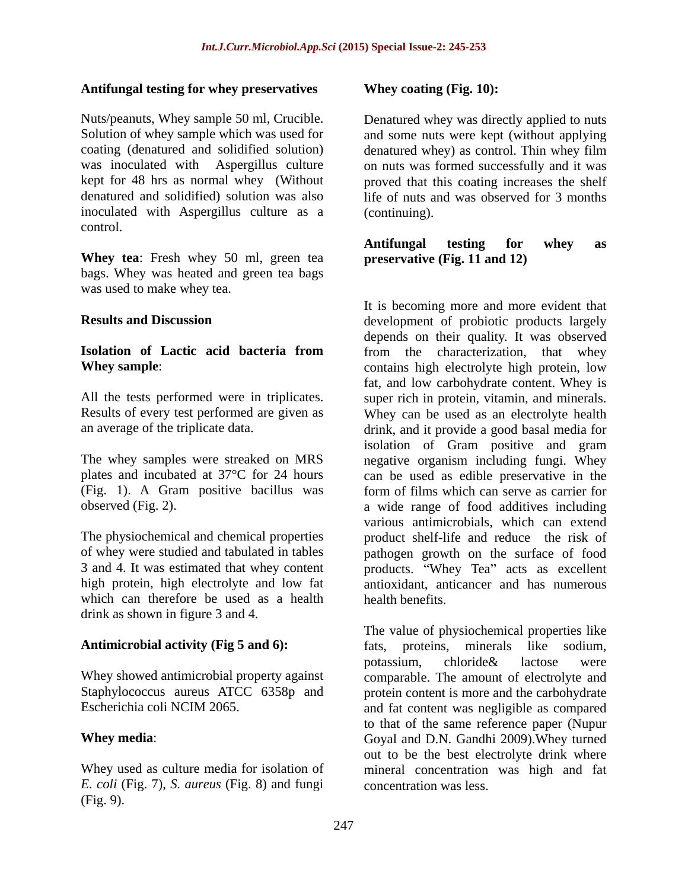### **Antifungal testing for whey preservatives**

Nuts/peanuts, Whey sample 50 ml, Crucible. Denatured whey was directly applied to nuts Solution of whey sample which was used for and some nuts were kept (without applying coating (denatured and solidified solution) denatured whey) as control. Thin whey film was inoculated with Aspergillus culture on nuts was formed successfully and it was kept for 48 hrs as normal whey (Without proved that this coating increases the shelf denatured and solidified) solution was also life of nuts and was observed for 3 months inoculated with Aspergillus culture as a control.

**Whey tea**: Fresh whey 50 ml, green tea bags. Whey was heated and green tea bags was used to make whey tea.

high protein, high electrolyte and low fat which can therefore be used as a health health henefits. drink as shown in figure 3 and 4.

Whey showed antimicrobial property against

*E. coli* (Fig. 7), *S. aureus* (Fig. 8) and fungi (Fig. 9).

### **Whey coating (Fig. 10):**

denatured whey) as control. Thin whey film (continuing).

### **Antifungal testing for whey as preservative (Fig. 11 and 12)**

**Results and Discussion** development of probiotic products largely **Isolation of Lactic acid bacteria from** from the characterization, that whey Whey sample:  $\blacksquare$  contains high electrolyte high protein, low All the tests performed were in triplicates. super rich in protein, vitamin, and minerals. Results of every test performed are given as Whey can be used as an electrolyte health an average of the triplicate data.  $\frac{d}{dx}$  drink, and it provide a good basal media for The whey samples were streaked on MRS negative organism including fungi. Whey plates and incubated at 37°C for 24 hours can be used as edible preservative in the (Fig. 1). A Gram positive bacillus was form of films which can serve as carrier for observed (Fig. 2). a wide range of food additives including The physiochemical and chemical properties product shelf-life and reduce the risk of of whey were studied and tabulated in tables pathogen growth on the surface of food 3 and 4. It was estimated that whey content products. "Whey Tea" acts as excellent It is becoming more and more evident that depends on their quality. It was observed fat, and low carbohydrate content. Whey is isolation of Gram positive and gram various antimicrobials, which can extend antioxidant, anticancer and has numerous health benefits.

**Antimicrobial activity (Fig 5 and 6):** Staphylococcus aureus ATCC 6358p and protein content is more and the carbohydrate Escherichia coli NCIM 2065. and fat content was negligible as compared **Whey media**: Goyal and D.N. Gandhi 2009).Whey turned Whey used as culture media for isolation of mineral concentration was high and fat The value of physiochemical properties like fats, proteins, minerals like sodium, potassium, chloride& lactose were comparable. The amount of electrolyte and to that of the same reference paper (Nupur out to be the best electrolyte drink where concentration was less.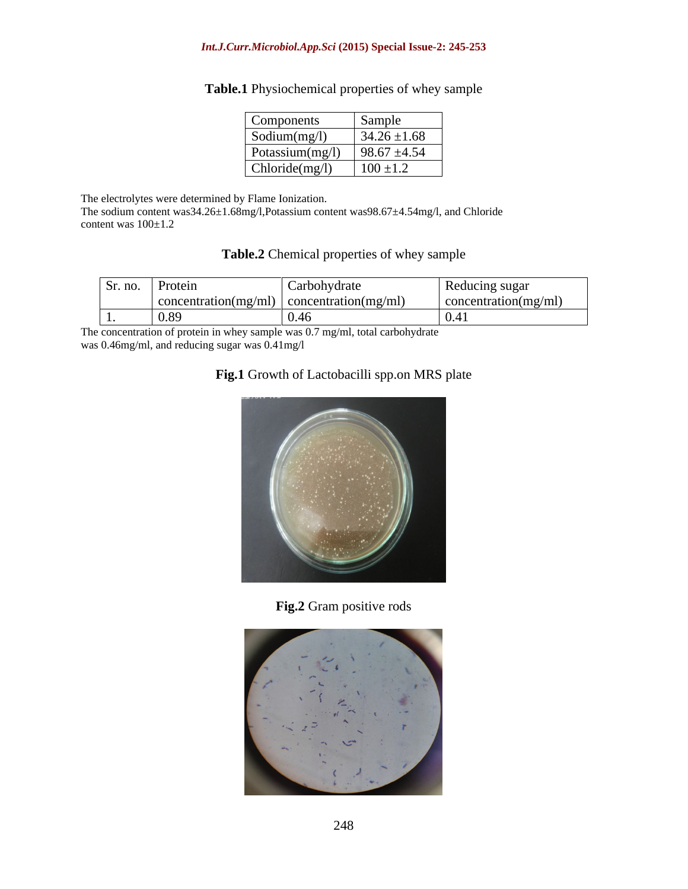### *Int.J.Curr.Microbiol.App.Sci* **(2015) Special Issue-2: 245-253**

| Components         | Sample               |
|--------------------|----------------------|
| Sodium $(mg/l)$    | $34.26 \pm 1.68$     |
| Potassium $(mg/l)$ | $98.67 \pm 4.54$     |
| Chloride(mg/l)     | 100<br>$100 \pm 1.2$ |

# **Table.1** Physiochemical properties of whey sample

The electrolytes were determined by Flame Ionization.

The sodium content was34.26±1.68mg/l,Potassium content was98.67±4.54mg/l, and Chloride content was  $100\pm1.2$ content was  $100\pm1.2$ 

## **Table.2** Chemical properties of whey sample

| Sr. no. | Protein              | Carbohydrate         | <b>Reducing sugar</b>        |
|---------|----------------------|----------------------|------------------------------|
|         | concentration(mg/ml) | concentration(mg/ml) | $\vert$ concentration(mg/ml) |
| .       | 0.89                 | (1.46)               | . V.4 !                      |

The concentration of protein in whey sample was 0.7 mg/ml, total carbohydrate was 0.46mg/ml, and reducing sugar was 0.41mg/l

### **Fig.1** Growth of Lactobacilli spp.on MRS plate



**Fig.2** Gram positive rods

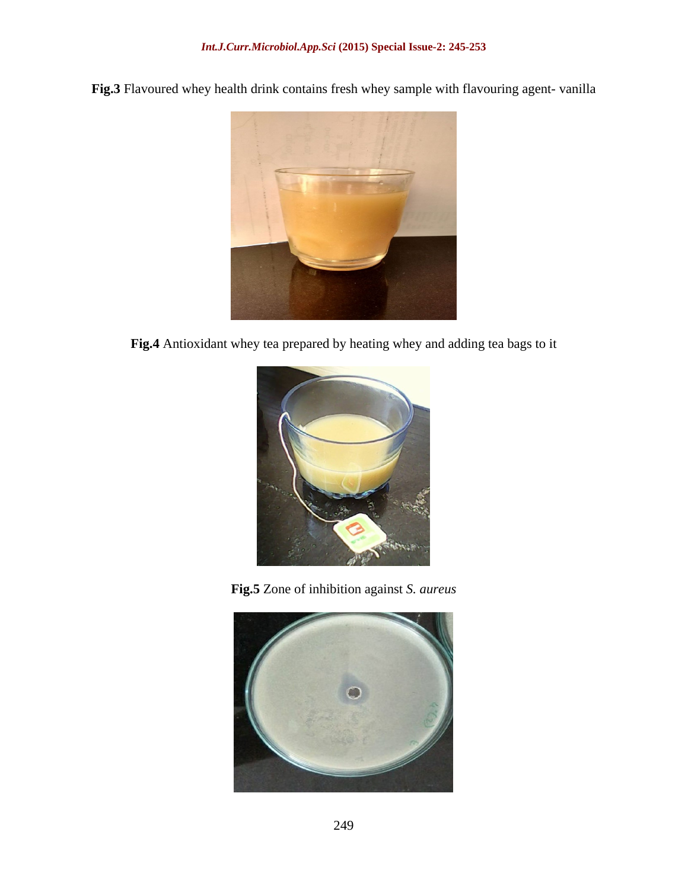**Fig.3** Flavoured whey health drink contains fresh whey sample with flavouring agent- vanilla



**Fig.4** Antioxidant whey tea prepared by heating whey and adding tea bags to it



**Fig.5** Zone of inhibition against *S. aureus*

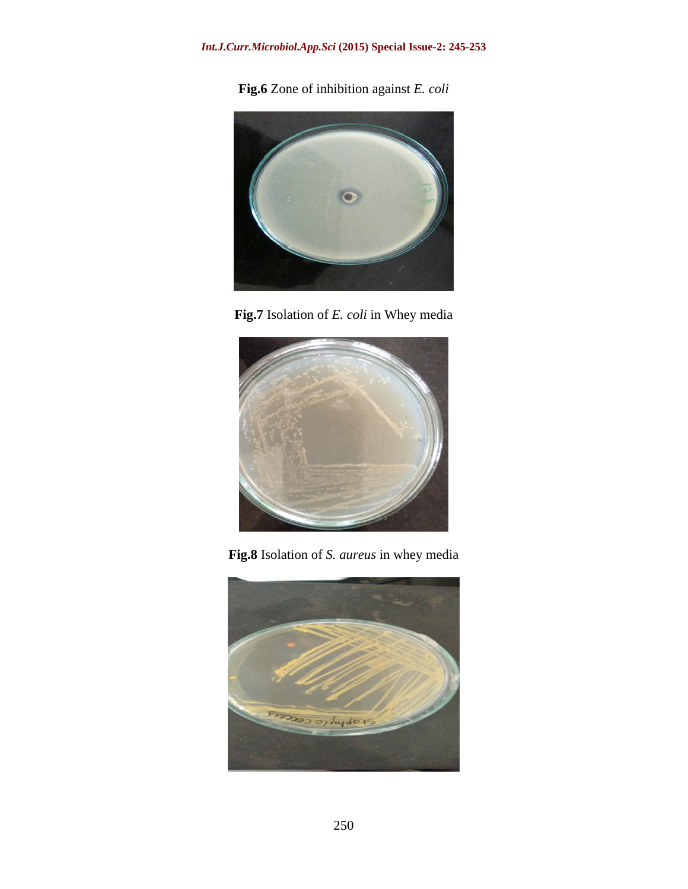**Fig.6** Zone of inhibition against *E. coli*







**Fig.8** Isolation of *S. aureus* in whey media

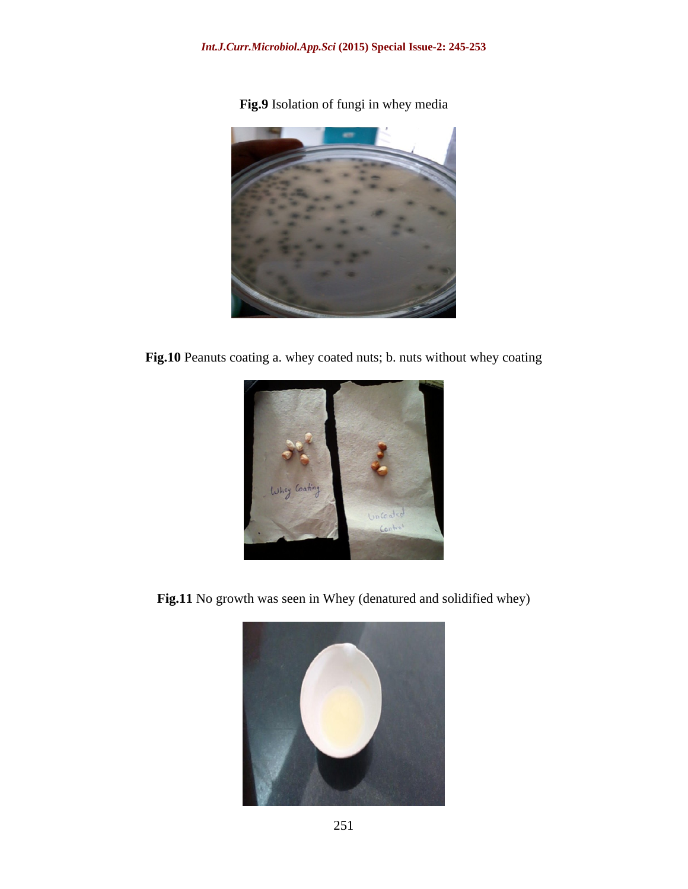**Fig.9** Isolation of fungi in whey media



Fig.10 Peanuts coating a. whey coated nuts; b. nuts without whey coating



**Fig.11** No growth was seen in Whey (denatured and solidified whey)

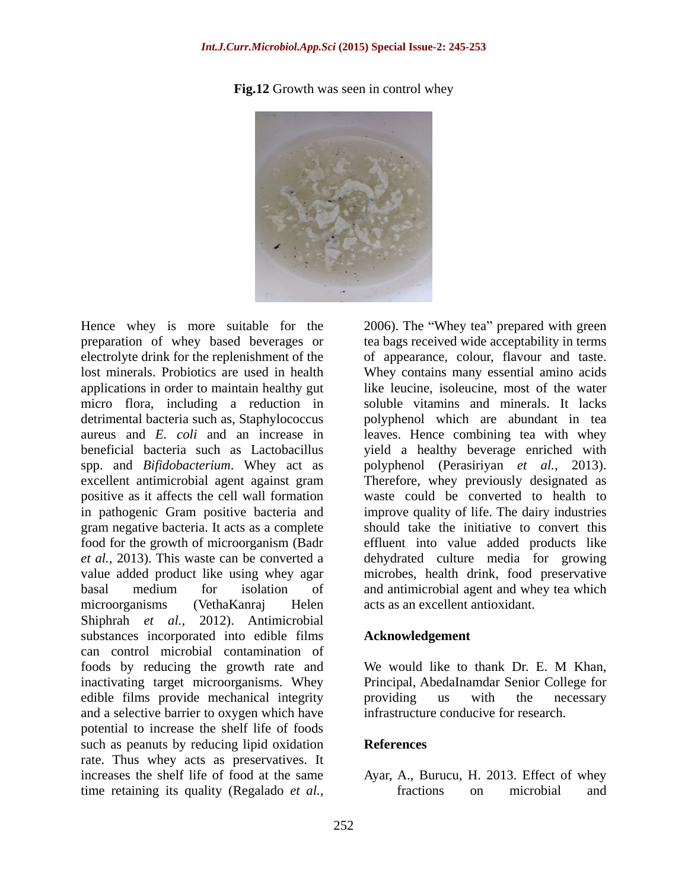### *Int.J.Curr.Microbiol.App.Sci* **(2015) Special Issue-2: 245-253**

**Fig.12** Growth was seen in control whey



Hence whey is more suitable for the 2006). The "Whey tea" prepared with green preparation of whey based beverages or tea bags received wide acceptability in terms electrolyte drink for the replenishment of the of appearance, colour, flavour and taste. lost minerals. Probiotics are used in health Whey contains many essential amino acids applications in order to maintain healthy gut micro flora, including a reduction in detrimental bacteria such as, Staphylococcus polyphenol which are abundant in tea aureus and *E. coli* and an increase in leaves. Hence combining tea with whey beneficial bacteria such as Lactobacillus yield a healthy beverage enriched with spp. and *Bifidobacterium*. Whey act as polyphenol (Perasiriyan *et al.,* 2013). excellent antimicrobial agent against gram Therefore, whey previously designated as positive as it affects the cell wall formation waste could be converted to health to in pathogenic Gram positive bacteria and gram negative bacteria. It acts as a complete food for the growth of microorganism (Badr effluent into value added products like *et al.,* 2013). This waste can be converted a dehydrated culture media for growing value added product like using whey agar microbes, health drink, food preservative basal medium for isolation of and antimicrobial agent and whey tea which microorganisms (VethaKanraj Helen Shiphrah *et al.,* 2012). Antimicrobial substances incorporated into edible films can control microbial contamination of foods by reducing the growth rate and We would like to thank Dr. E. M Khan, inactivating target microorganisms. Whey Principal, AbedaInamdar Senior College for edible films provide mechanical integrity by providing us with the necessary and a selective barrier to oxygen which have potential to increase the shelf life of foods such as peanuts by reducing lipid oxidation References rate. Thus whey acts as preservatives. It increases the shelf life of food at the same Ayar, A.,Burucu, H. 2013. Effect of whey Hence whey is more saitable for the "2006). The "Whey tast" prepared with green the electrolyte drink for the replemation of the preparence colour. Rover and taste.<br>electrolyte drink for the replemation of the speaker of a

like leucine, isoleucine, most of the water soluble vitamins and minerals. It lacks improve quality of life. The dairy industries should take the initiative to convert this acts as an excellent antioxidant.

### **Acknowledgement**

We would like to thank Dr. E. M Khan, providing us with the necessary infrastructure conducive for research.

### **References**

fractions on microbial and